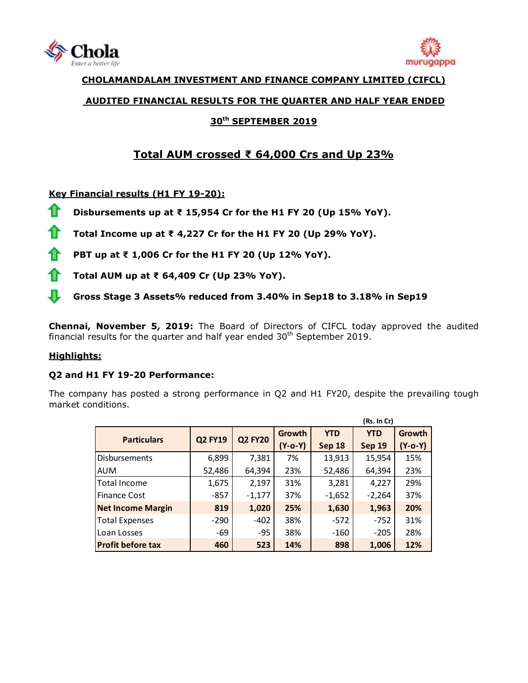



# **CHOLAMANDALAM INVESTMENT AND FINANCE COMPANY LIMITED (CIFCL)**

## **AUDITED FINANCIAL RESULTS FOR THE QUARTER AND HALF YEAR ENDED**

# **30 th SEPTEMBER 2019**

# **Total AUM crossed ₹ 64,000 Crs and Up 23%**

# **Key Financial results (H1 FY 19-20):**

- 11 **Disbursements up at ₹ 15,954 Cr for the H1 FY 20 (Up 15% YoY).**
- 11 **Total Income up at ₹ 4,227 Cr for the H1 FY 20 (Up 29% YoY).**
- **PBT up at ₹ 1,006 Cr for the H1 FY 20 (Up 12% YoY).** fr
- 11 **Total AUM up at ₹ 64,409 Cr (Up 23% YoY).**
- ¶. **Gross Stage 3 Assets% reduced from 3.40% in Sep18 to 3.18% in Sep19**

**Chennai, November 5, 2019:** The Board of Directors of [CIFCL](http://www.cholamandalam.com/) today approved the audited financial results for the quarter and half year ended  $30<sup>th</sup>$  September 2019.

# **Highlights:**

#### **Q2 and H1 FY 19-20 Performance:**

The company has posted a strong performance in Q2 and H1 FY20, despite the prevailing tough market conditions.

|                          |                | (Rs. In Cr)    |               |               |            |         |
|--------------------------|----------------|----------------|---------------|---------------|------------|---------|
| <b>Particulars</b>       | <b>Q2 FY19</b> | <b>Q2 FY20</b> | Growth        | <b>YTD</b>    | <b>YTD</b> | Growth  |
|                          |                |                | $(Y - 0 - Y)$ | <b>Sep 18</b> | Sep 19     | (Y-o-Y) |
| <b>Disbursements</b>     | 6,899          | 7,381          | 7%            | 13,913        | 15,954     | 15%     |
| <b>AUM</b>               | 52,486         | 64,394         | 23%           | 52,486        | 64,394     | 23%     |
| Total Income             | 1,675          | 2,197          | 31%           | 3,281         | 4,227      | 29%     |
| <b>Finance Cost</b>      | -857           | $-1,177$       | 37%           | $-1,652$      | $-2,264$   | 37%     |
| <b>Net Income Margin</b> | 819            | 1,020          | 25%           | 1,630         | 1,963      | 20%     |
| <b>Total Expenses</b>    | $-290$         | $-402$         | 38%           | $-572$        | $-752$     | 31%     |
| Loan Losses              | -69            | $-95$          | 38%           | $-160$        | $-205$     | 28%     |
| <b>Profit before tax</b> | 460            | 523            | 14%           | 898           | 1,006      | 12%     |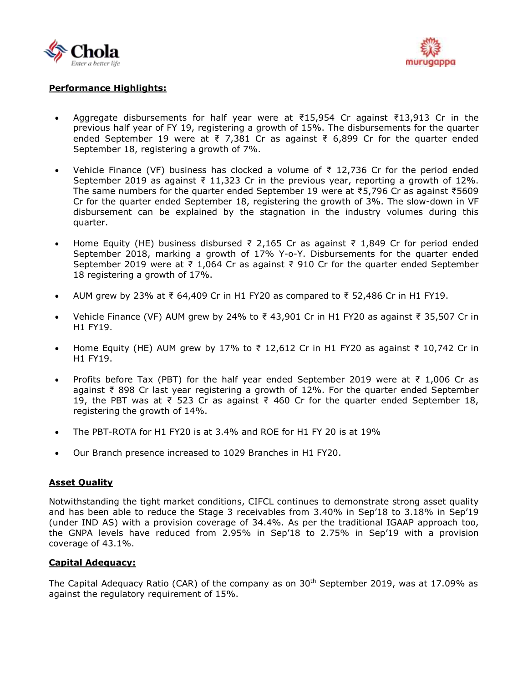



## **Performance Highlights:**

- Aggregate disbursements for half year were at ₹15,954 Cr against ₹13,913 Cr in the previous half year of FY 19, registering a growth of 15%. The disbursements for the quarter ended September 19 were at ₹ 7,381 Cr as against ₹ 6,899 Cr for the quarter ended September 18, registering a growth of 7%.
- Vehicle Finance (VF) business has clocked a volume of ₹ 12,736 Cr for the period ended September 2019 as against ₹ 11,323 Cr in the previous year, reporting a growth of 12%. The same numbers for the quarter ended September 19 were at ₹5,796 Cr as against ₹5609 Cr for the quarter ended September 18, registering the growth of 3%. The slow-down in VF disbursement can be explained by the stagnation in the industry volumes during this quarter.
- Home Equity (HE) business disbursed ₹ 2,165 Cr as against ₹ 1,849 Cr for period ended September 2018, marking a growth of 17% Y-o-Y. Disbursements for the quarter ended September 2019 were at ₹ 1,064 Cr as against ₹ 910 Cr for the quarter ended September 18 registering a growth of 17%.
- AUM grew by 23% at ₹ 64,409 Cr in H1 FY20 as compared to ₹ 52,486 Cr in H1 FY19.
- Vehicle Finance (VF) AUM grew by 24% to ₹ 43,901 Cr in H1 FY20 as against ₹ 35,507 Cr in H1 FY19.
- Home Equity (HE) AUM grew by 17% to ₹ 12,612 Cr in H1 FY20 as against ₹ 10,742 Cr in H1 FY19.
- Profits before Tax (PBT) for the half year ended September 2019 were at  $\bar{\tau}$  1,006 Cr as against ₹ 898 Cr last year registering a growth of 12%. For the quarter ended September 19, the PBT was at ₹ 523 Cr as against ₹ 460 Cr for the quarter ended September 18, registering the growth of 14%.
- The PBT-ROTA for H1 FY20 is at 3.4% and ROE for H1 FY 20 is at 19%
- Our Branch presence increased to 1029 Branches in H1 FY20.

#### **Asset Quality**

Notwithstanding the tight market conditions, CIFCL continues to demonstrate strong asset quality and has been able to reduce the Stage 3 receivables from 3.40% in Sep'18 to 3.18% in Sep'19 (under IND AS) with a provision coverage of 34.4%. As per the traditional IGAAP approach too, the GNPA levels have reduced from 2.95% in Sep'18 to 2.75% in Sep'19 with a provision coverage of 43.1%.

#### **Capital Adequacy:**

The Capital Adequacy Ratio (CAR) of the company as on 30<sup>th</sup> September 2019, was at 17.09% as against the regulatory requirement of 15%.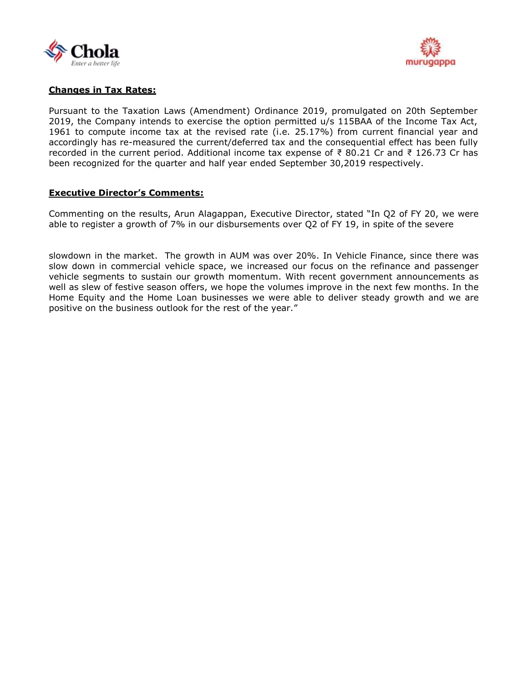



## **Changes in Tax Rates:**

Pursuant to the Taxation Laws (Amendment) Ordinance 2019, promulgated on 20th September 2019, the Company intends to exercise the option permitted u/s 115BAA of the Income Tax Act, 1961 to compute income tax at the revised rate (i.e. 25.17%) from current financial year and accordingly has re-measured the current/deferred tax and the consequential effect has been fully recorded in the current period. Additional income tax expense of ₹ 80.21 Cr and ₹ 126.73 Cr has been recognized for the quarter and half year ended September 30,2019 respectively.

#### **Executive Director's Comments:**

Commenting on the results, Arun Alagappan, Executive Director, stated "In Q2 of FY 20, we were able to register a growth of 7% in our disbursements over Q2 of FY 19, in spite of the severe

slowdown in the market. The growth in AUM was over 20%. In Vehicle Finance, since there was slow down in commercial vehicle space, we increased our focus on the refinance and passenger vehicle segments to sustain our growth momentum. With recent government announcements as well as slew of festive season offers, we hope the volumes improve in the next few months. In the Home Equity and the Home Loan businesses we were able to deliver steady growth and we are positive on the business outlook for the rest of the year."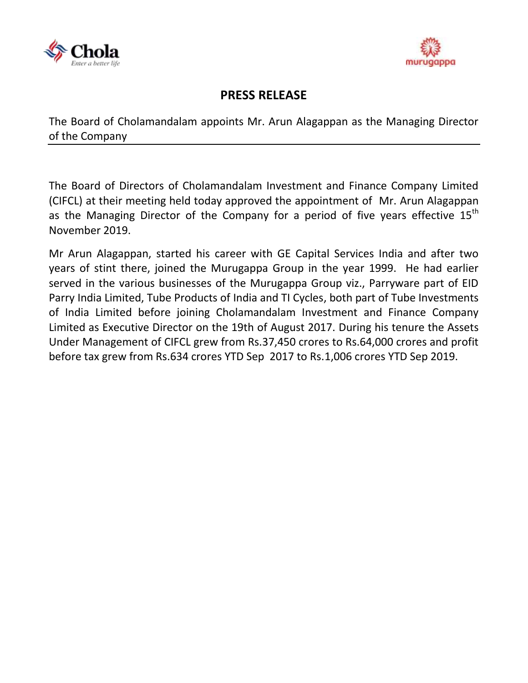



# **PRESS RELEASE**

The Board of Cholamandalam appoints Mr. Arun Alagappan as the Managing Director of the Company

The Board of Directors of Cholamandalam Investment and Finance Company Limited (CIFCL) at their meeting held today approved the appointment of Mr. Arun Alagappan as the Managing Director of the Company for a period of five years effective 15<sup>th</sup> November 2019.

Mr Arun Alagappan, started his career with GE Capital Services India and after two years of stint there, joined the Murugappa Group in the year 1999. He had earlier served in the various businesses of the Murugappa Group viz., Parryware part of EID Parry India Limited, Tube Products of India and TI Cycles, both part of Tube Investments of India Limited before joining Cholamandalam Investment and Finance Company Limited as Executive Director on the 19th of August 2017. During his tenure the Assets Under Management of CIFCL grew from Rs.37,450 crores to Rs.64,000 crores and profit before tax grew from Rs.634 crores YTD Sep 2017 to Rs.1,006 crores YTD Sep 2019.